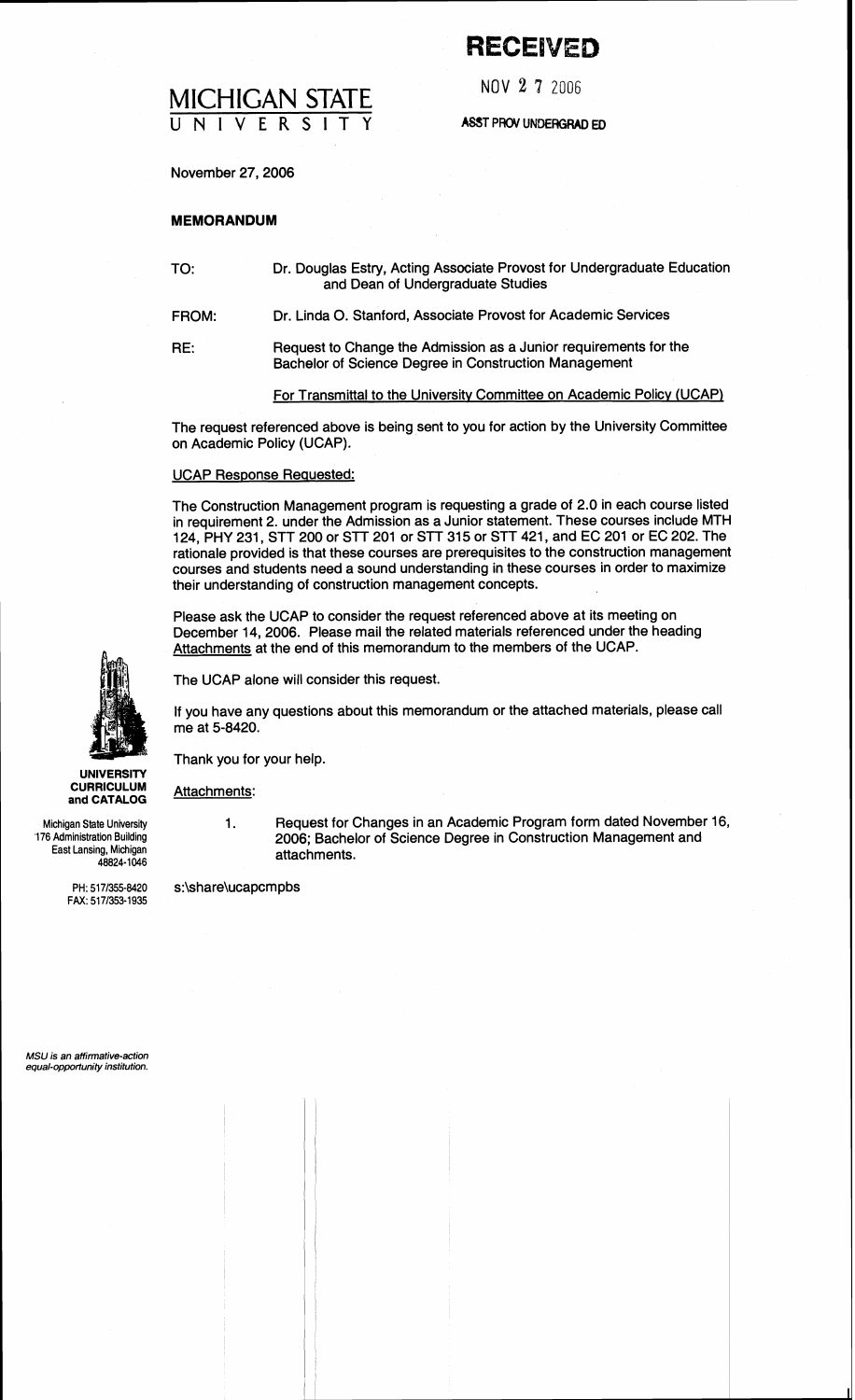# **RECEIVED**

NOV **2 7** 2006

**ASST PRW UNDERGRAD ED** 

November 27,2006

MICHIGAN STATE **UNIVERSITY** 

## **MEMORANDUM**

| TO:   | Dr. Douglas Estry, Acting Associate Provost for Undergraduate Education<br>and Dean of Undergraduate Studies              |  |  |
|-------|---------------------------------------------------------------------------------------------------------------------------|--|--|
| FROM: | Dr. Linda O. Stanford, Associate Provost for Academic Services                                                            |  |  |
| RE:   | Request to Change the Admission as a Junior requirements for the<br>Bachelor of Science Degree in Construction Management |  |  |

For Transmittal to the Universitv Committee on Academic Policy (UCAP)

The request referenced above is being sent to you for action by the University Committee on Academic Policy (UCAP).

#### UCAP Response Requested:

The Construction Management program is requesting a grade of 2.0 in each course listed in requirement 2. under the Admission as a Junior statement. These courses include MTH 124, PHY 231, STT 200 or STT 201 or STT 315 or STT 421, and EC 201 or EC 202. The rationale provided is that these courses are prerequisites to the construction management courses and students need a sound understanding in these courses in order to maximize their understanding of construction management concepts.

Please ask the UCAP to consider the request referenced above at its meeting on December 14,2006. Please mail the related materials referenced under the heading Attachments at the end of this memorandum to the members of the UCAP.

The UCAP alone will consider this request.

If you have any questions about this memorandum or the attached materials, please call me at 5-8420.

Thank you for your help.

Attachments:

1. Request for Changes in an Academic Program form dated November 16, 2006; Bachelor of Science Degree in Construction Management and attachments.

PH: 517/355-8420 s:\share\ucapcmpbs



**UNIVERSITY CURRICULUM and CATALOG** 

Michigan State University '176 Administration Building East Lansing, Michigan 48824-1046

FAX: 5171353-1935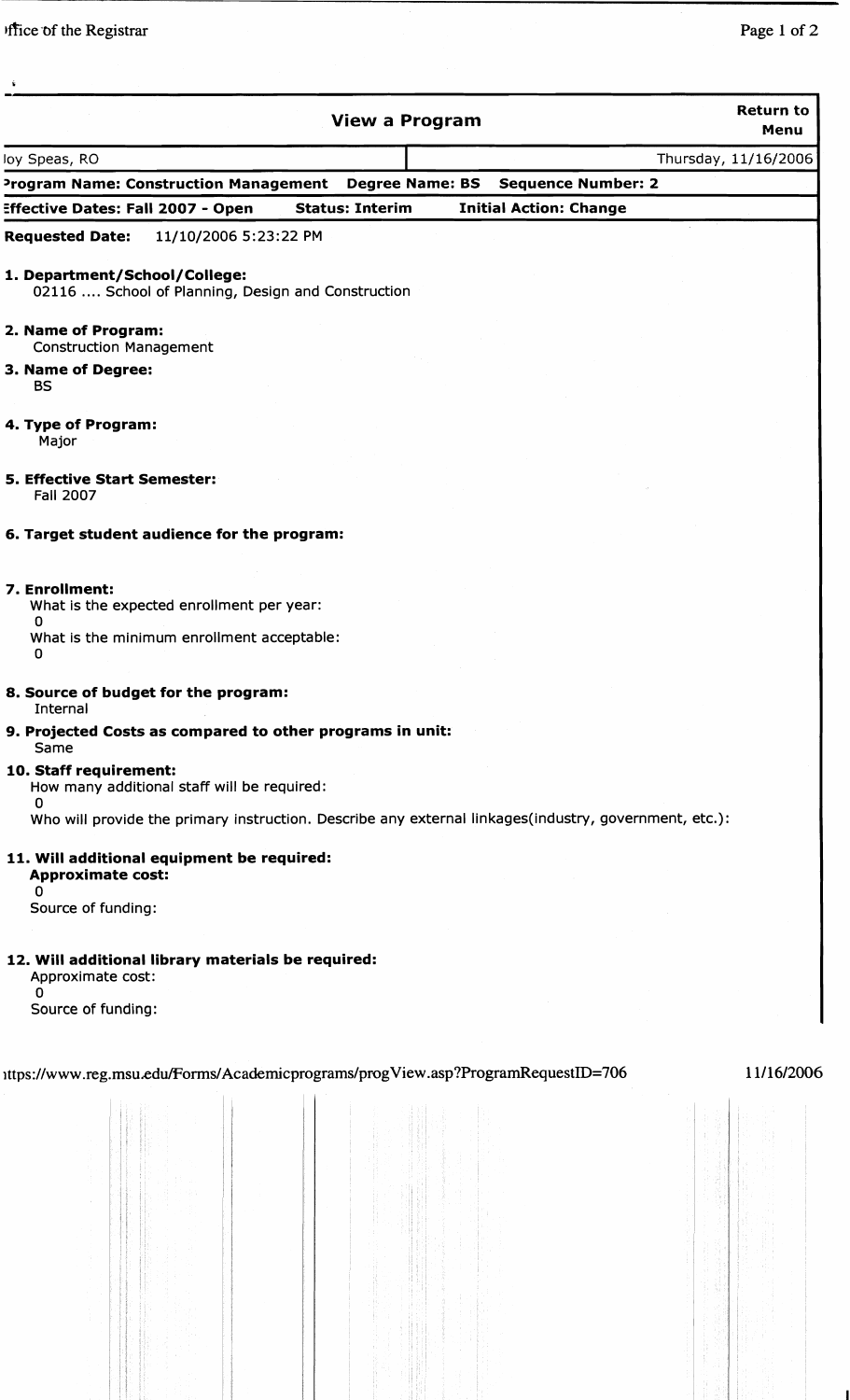| <b>View a Program</b>                                                                                               | <b>Return to</b><br>Menu |
|---------------------------------------------------------------------------------------------------------------------|--------------------------|
| loy Speas, RO                                                                                                       | Thursday, 11/16/2006     |
| Program Name: Construction Management<br><b>Degree Name: BS</b><br><b>Sequence Number: 2</b>                        |                          |
| <b>Effective Dates: Fall 2007 - Open</b><br><b>Status: Interim</b><br><b>Initial Action: Change</b>                 |                          |
| <b>Requested Date:</b><br>11/10/2006 5:23:22 PM                                                                     |                          |
| 1. Department/School/College:<br>02116  School of Planning, Design and Construction                                 |                          |
| 2. Name of Program:<br><b>Construction Management</b>                                                               |                          |
| 3. Name of Degree:<br><b>BS</b>                                                                                     |                          |
| 4. Type of Program:<br>Major                                                                                        |                          |
| <b>5. Effective Start Semester:</b><br><b>Fall 2007</b>                                                             |                          |
| 6. Target student audience for the program:                                                                         |                          |
| 7. Enrollment:<br>What is the expected enrollment per year:<br>0<br>What is the minimum enrollment acceptable:<br>0 |                          |
| 8. Source of budget for the program:<br>Internal                                                                    |                          |
| 9. Projected Costs as compared to other programs in unit:<br>Same                                                   |                          |
| 10. Staff requirement:<br>How many additional staff will be required:<br>0                                          |                          |
| Who will provide the primary instruction. Describe any external linkages(industry, government, etc.):               |                          |
| 11. Will additional equipment be required:<br><b>Approximate cost:</b><br>0<br>Source of funding:                   |                          |
| 12. Will additional library materials be required:<br>Approximate cost:<br>0<br>Source of funding:                  |                          |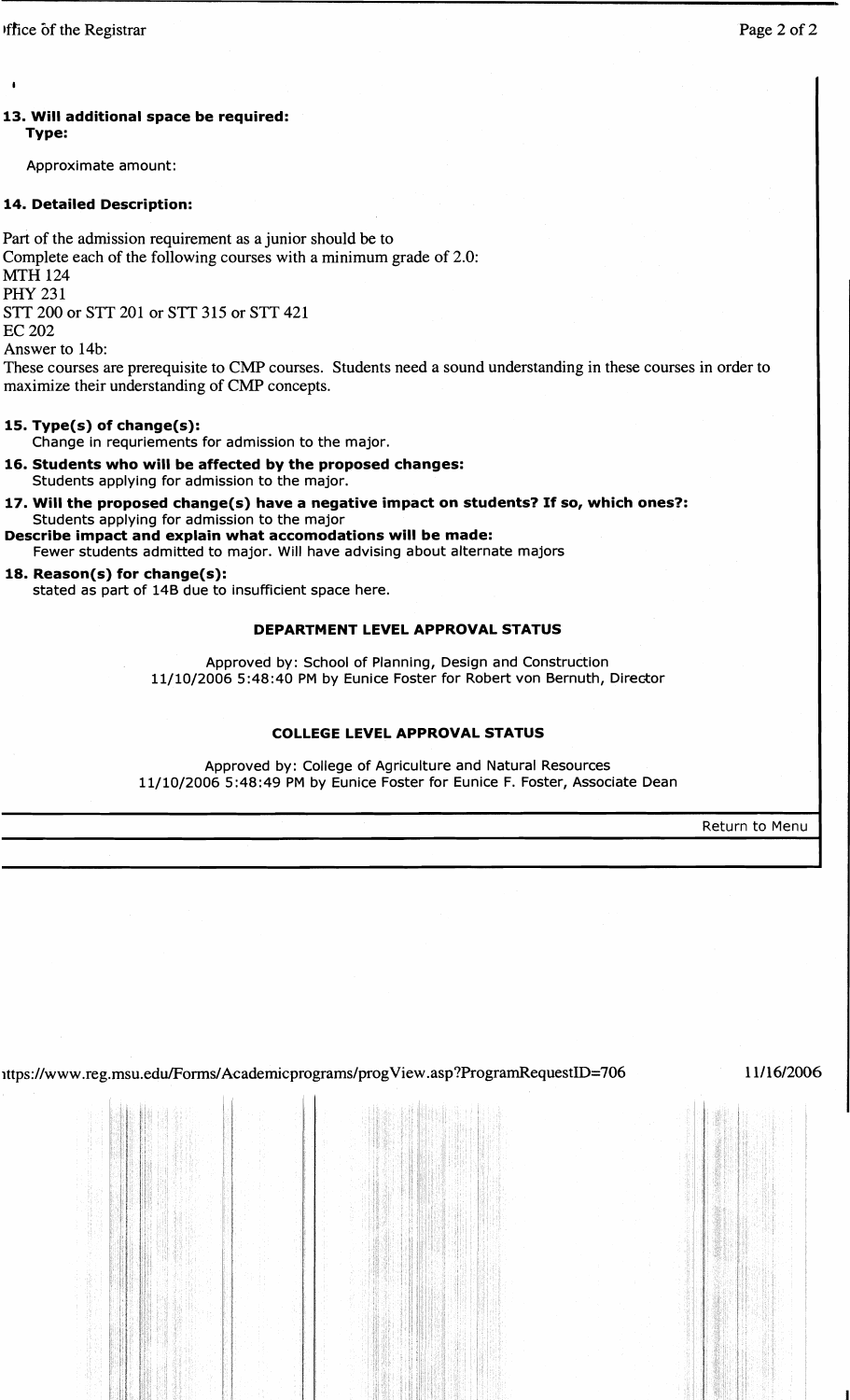**I** 

# 13. Will additional space be required: Type:

Approximate amount:

# 14. Detailed Description:

Part of the admission requirement as a junior should be to Complete each of the following courses with a minimum grade of 2.0: MTH 124 **PHY 231** STT 200 or STT 201 or STT 315 or STT 421 EC 202

Answer to 14b:

These courses are prerequisite to CMP courses. Students need a sound understanding in these courses in order to maximize their understanding of CMP concepts.

# 15. Type(s) of change(s):

Change in requriements for admission to the major.

- 16. Students who will be affected by the proposed changes: Students applying for admission to the major.
- 17. Will the proposed change(s) have a negative impact on students? If so, which ones?: Students applying for admission to the major
- Describe impact and explain what accomodations will be made: Fewer students admitted to major. Will have advising about alternate majors

# 18. Reason(s) for change(s):

stated as part of 148 due to insufficient space here.

## DEPARTMENT LEVEL APPROVAL STATUS

Approved by: School of Planning, Design and Construction 11/10/2006 5:48:40 PM by Eunice Foster for Robert von Bernuth, Director

## COLLEGE LEVEL APPROVAL STATUS

Approved by: College of Agriculture and Natural Resources 11/10/2006 5:48:49 PM by Eunice Foster for Eunice F. Foster, Associate Dean

Return to Menu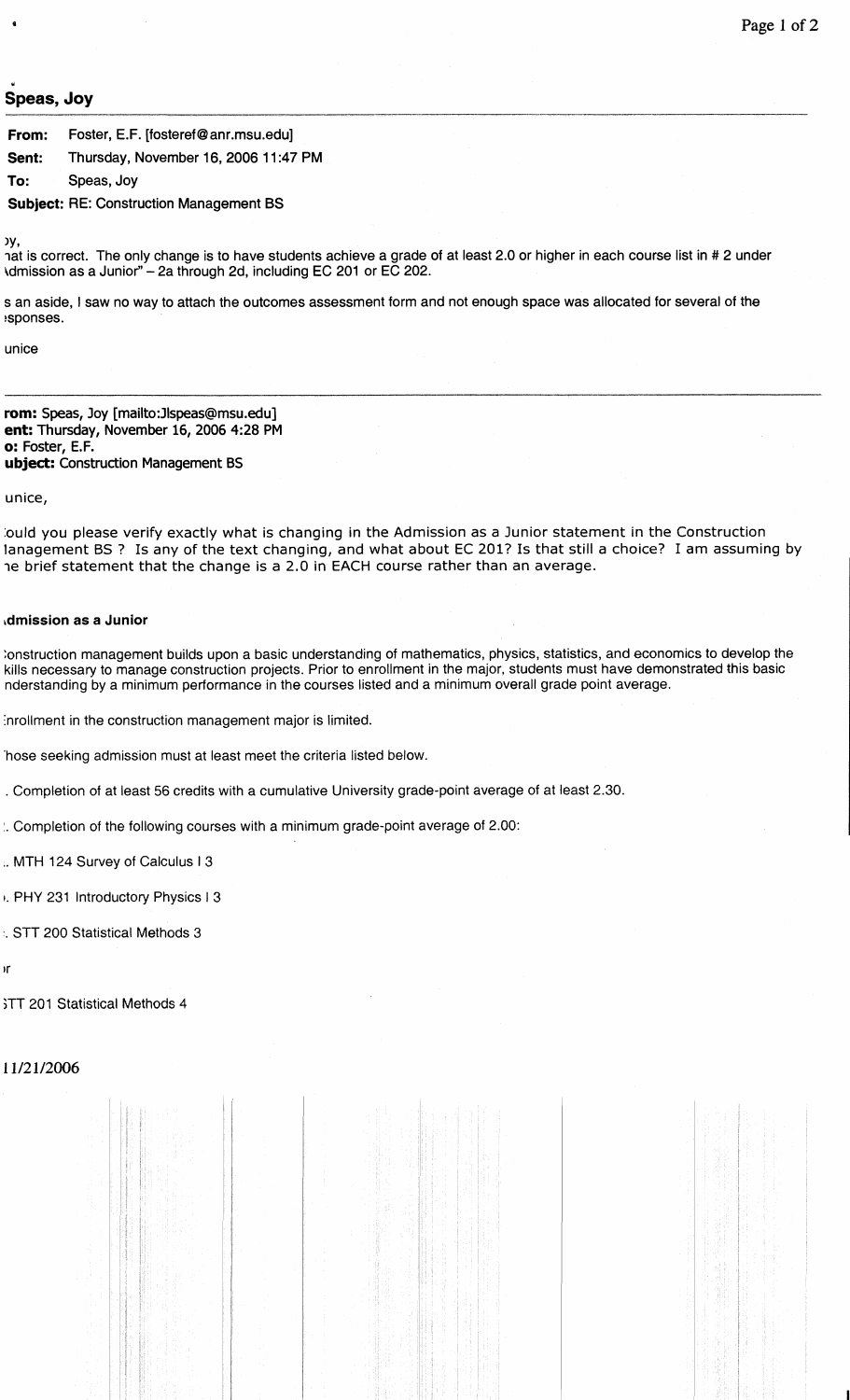# **Speas, Joy**

**From:** Foster, E.F. [fosteref @anr.msu.edu] **Sent:** Thursday, November 16, 2006 11:47 PM **To:** Speas, Joy

**Subject:** RE: Construction Management BS

)у,

**u** 

hat is correct. The only change is to have students achieve a grade of at least 2.0 or higher in each course list in # 2 under \dmission as a Junior" - 2a through 2d, including EC 201 or EC 202.

s an aside, I saw no way to attach the outcomes assessment form and not enough space was allocated for several of the !sponses.

unice

**rom:** Speas, Joy **[mailto:Jlspeas@msu.edu] ent:** Thursday, November 16, 2006 4:28 PM **o:** Foster, E.F. **ubject:** Construction Management **BS** 

unice,

:ould you please verify exactly what is changing in the Admission as a Junior statement in the Construction lanagement BS ? Is any of the text changing, and what about EC **201?** Is that still a choice? I am assuming by 7e brief statement that the change is a 2.0 in EACH course rather than an average.

#### **~dmission as a Junior**

:onstruction management builds upon a basic understanding of mathematics, physics, statistics, and economics to develop the kills necessary to manage construction projects. Prior to enrollment in the major, students must have demonstrated this basic nderstanding by a minimum performance in the courses listed and a minimum overall grade point average.

Inrollment in the construction management major is limited.

'hose seeking admission must at least meet the criteria listed below.

. Completion of at least 56 credits with a cumulative University grade-point average of at least 2.30.

:. Completion of the following courses with a minimum grade-point average of 2.00:

.. MTH 124 Survey of Calculus **1** 3

I. PHY 231 Introductory Physics 1 3

:. STT 200 Statistical Methods 3

١r

;TT 201 Statistical Methods 4

11/21/2006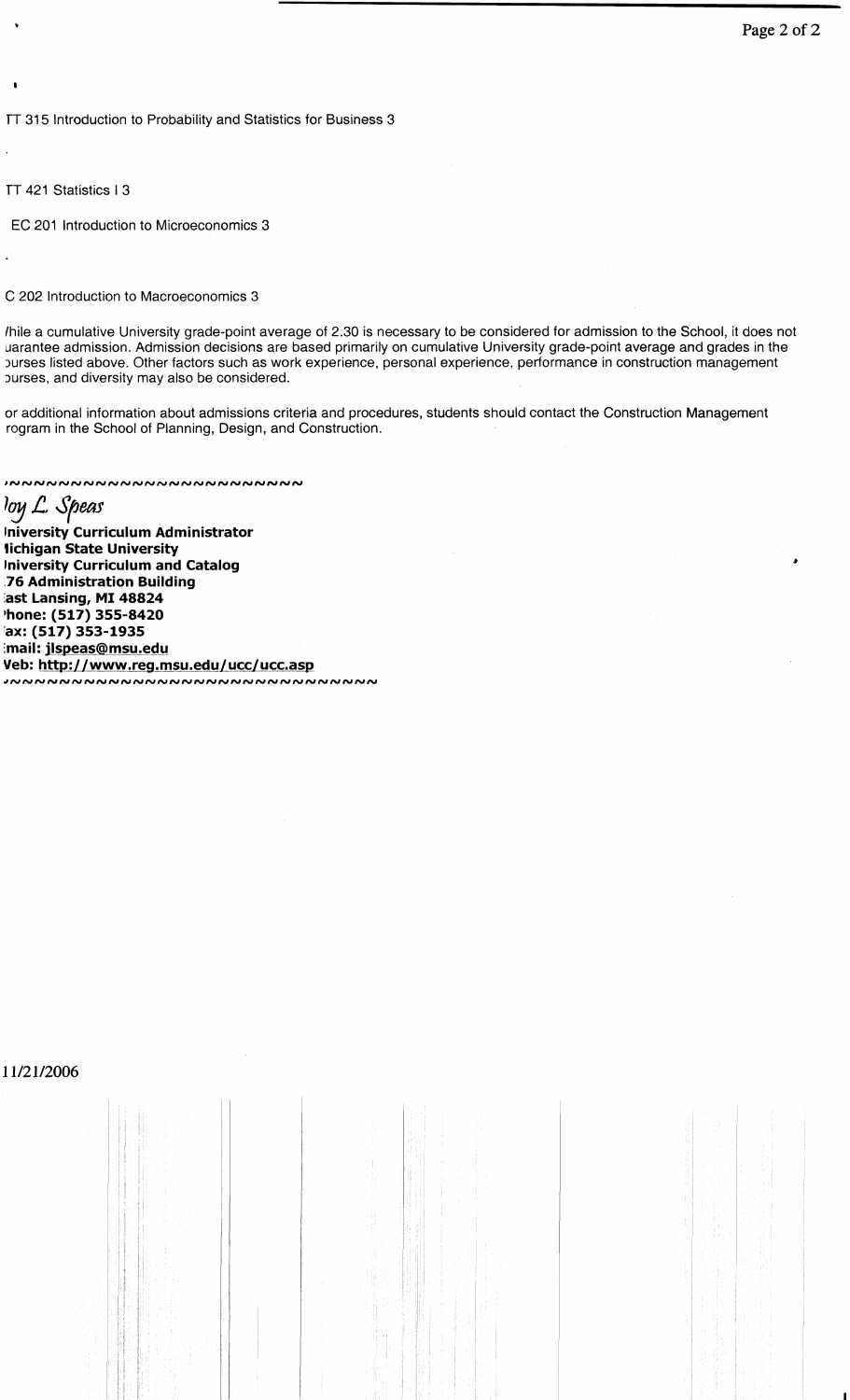TT 315 Introduction to Probability and Statistics for Business 3

TT 421 Statistics 1 3

**I** 

EC 201 lntroduction to Microeconomics 3

#### C 202 lntroduction to Macroeconomics 3

lhile a cumulative University grade-point average of 2.30 is necessary to be considered for admission to the School, it does not uarantee admission. Admission decisions are based primarily on cumulative University grade-point average and grades in the 3urses listed above. Other factors such as work experience, personal experience. performance in construction management burses, and diversity may also be considered.

or additional information about admissions criteria and procedures, students should contact the Construction Management rogram in the School of Planning, Design, and Construction.

INNNNNNNNNNNNNNNNNNNNNNNN

loy L. Speas

**lniversity Curriculum Administrator lichigan State University lniversity Curriculum and Catalog 76 Administration Building ast Lansing, MI 48824 'hone: (517) 355-8420 ax: (517) 353-1935 :mail: jlspeas@msu.edu Veb: http:L f wwwLreg.ms\_u,ed.u 1-ucc f ucc.asp** dNNNNNNNNNNNNNNNNNNNNNNNNNNNNNNNNNNN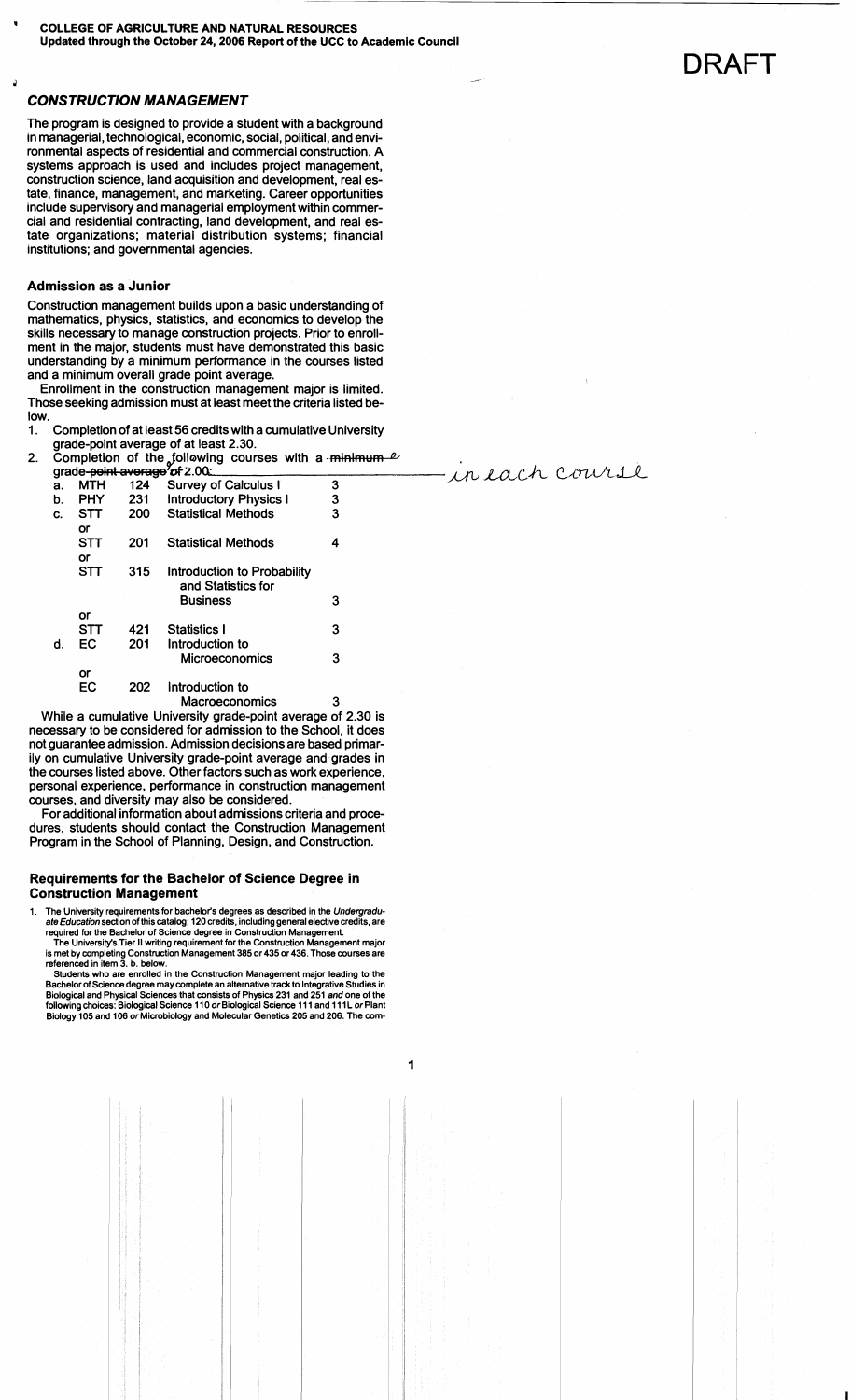**<sup>J</sup>**.-

### **CONSTRUCTION MANAGEMENT**

The program is designed to provide a student with a background in managerial, technological, economic, social, political, and environmental aspects of residential and commercial construction. A systems approach is used and includes project management, construction science, land acquisition and development, real estate, finance, management, and marketing. Career opportunities include supervisory and managerial employment within commercial and residential contracting, land development, and real estate organizations; material distribution systems; financial institutions; and governmental agencies.

#### **Admission as a Junior**

Construction management builds upon a basic understanding of mathematics, physics, statistics, and economics to develop the skills necessary to manage construction projects. Prior to enrollment in the major, students must have demonstrated this basic understanding by a minimum performance in the courses listed and a minimum overall grade point average.

Enrollment in the construction management major is limited. Those seeking admission must at least meet the criteria listed below.

- **1.** Completion of at least 56 credits with a cumulative University grade-point average of at least **2.30.**
- 2. Completion of the following courses with a <del>minimum  $\ell$ </del> grade+Mbwsge'&Z.OO: a. MTH **124** Survey of Calculus I **3** ,&L *LL2,c.k ec^rt&U*

|    |            |     | $9.000$ point avoidge of 2.00 mm and |   |
|----|------------|-----|--------------------------------------|---|
| а. | <b>MTH</b> | 124 | <b>Survey of Calculus I</b>          | 3 |
| b. | PHY        | 231 | <b>Introductory Physics I</b>        | 3 |
| C. | STT        | 200 | <b>Statistical Methods</b>           | 3 |
|    | or         |     |                                      |   |
|    | STT        | 201 | <b>Statistical Methods</b>           | 4 |
|    | or         |     |                                      |   |
|    | STT        | 315 | Introduction to Probability          |   |
|    |            |     | and Statistics for                   |   |
|    |            |     | <b>Business</b>                      | 3 |
|    | or         |     |                                      |   |
|    | <b>STT</b> | 421 | <b>Statistics I</b>                  | 3 |
| d. | EС         | 201 | Introduction to                      |   |
|    |            |     | Microeconomics                       | 3 |
|    | or         |     |                                      |   |
|    | EC         | 202 | Introduction to                      |   |
|    |            |     | Macroeconomics                       | 3 |

While a cumulative University grade-point average of **2.30** is necessary to be considered for admission to the School, it does not guarantee admission. Admission decisions are based primarily on cumulative University grade-point average and grades in the courses listed above. Other factors such as work experience, personal experience, performance in construction management courses, and diversity may also be considered.

For additional information about admissions criteria and procedures, students should contact the Construction Management Program in the School of Planning, Design, and Construction.

#### **Requirements for the Bachelor of Science Degree in Construction Management**

The University requirements for bachelor's degrees as described in the Undergraduate Education section of this catalog; 120 credits, including general elective credits, are **required for the Bachelor of Science degree in Construction Management.** 

**The University's Tier II writing requirement for the Construction Management major is met by completing Construction Management 385 or 435 or 436. Those courses are referenced in item 3. b. below.** 

**Students who are enrolled in the Construction Management major leading to the Bachelor of Science degree may complete an alternative track to Integrative Studies in Biological and Physical Sciences that consists of Physics 231 and 251 and one of the**  following choices: Biological Science 110 or Biological Science 111 and 111L or Plant **Biology 105 and 106 or Microbiology and Molecular.Genetics 205 and 206. The com-**  DRAFT